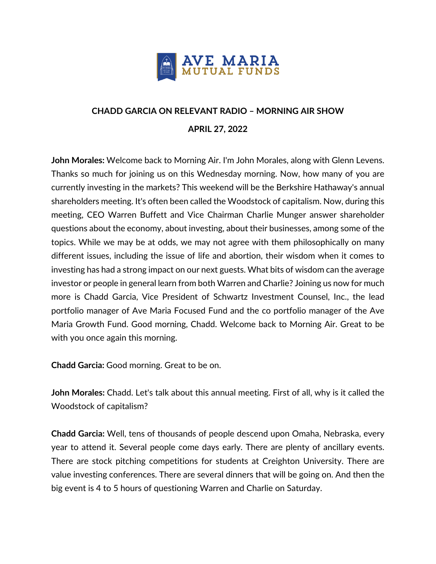

## **CHADD GARCIA ON RELEVANT RADIO – MORNING AIR SHOW APRIL 27, 2022**

**John Morales:** Welcome back to Morning Air. I'm John Morales, along with Glenn Levens. Thanks so much for joining us on this Wednesday morning. Now, how many of you are currently investing in the markets? This weekend will be the Berkshire Hathaway's annual shareholders meeting. It's often been called the Woodstock of capitalism. Now, during this meeting, CEO Warren Buffett and Vice Chairman Charlie Munger answer shareholder questions about the economy, about investing, about their businesses, among some of the topics. While we may be at odds, we may not agree with them philosophically on many different issues, including the issue of life and abortion, their wisdom when it comes to investing has had a strong impact on our next guests. What bits of wisdom can the average investor or people in general learn from both Warren and Charlie? Joining us now for much more is Chadd Garcia, Vice President of Schwartz Investment Counsel, Inc., the lead portfolio manager of Ave Maria Focused Fund and the co portfolio manager of the Ave Maria Growth Fund. Good morning, Chadd. Welcome back to Morning Air. Great to be with you once again this morning.

**Chadd Garcia:** Good morning. Great to be on.

**John Morales:** Chadd. Let's talk about this annual meeting. First of all, why is it called the Woodstock of capitalism?

**Chadd Garcia:** Well, tens of thousands of people descend upon Omaha, Nebraska, every year to attend it. Several people come days early. There are plenty of ancillary events. There are stock pitching competitions for students at Creighton University. There are value investing conferences. There are several dinners that will be going on. And then the big event is 4 to 5 hours of questioning Warren and Charlie on Saturday.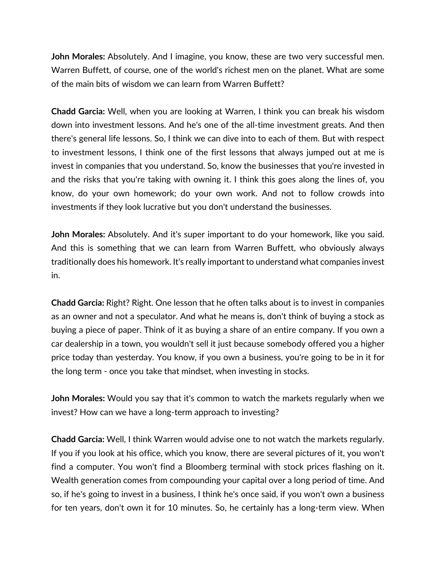**John Morales:** Absolutely. And I imagine, you know, these are two very successful men. Warren Buffett, of course, one of the world's richest men on the planet. What are some of the main bits of wisdom we can learn from Warren Buffett?

**Chadd Garcia:** Well, when you are looking at Warren, I think you can break his wisdom down into investment lessons. And he's one of the all-time investment greats. And then there's general life lessons. So, I think we can dive into to each of them. But with respect to investment lessons, I think one of the first lessons that always jumped out at me is invest in companies that you understand. So, know the businesses that you're invested in and the risks that you're taking with owning it. I think this goes along the lines of, you know, do your own homework; do your own work. And not to follow crowds into investments if they look lucrative but you don't understand the businesses.

**John Morales:** Absolutely. And it's super important to do your homework, like you said. And this is something that we can learn from Warren Buffett, who obviously always traditionally does his homework. It's really important to understand what companies invest in.

**Chadd Garcia:** Right? Right. One lesson that he often talks about is to invest in companies as an owner and not a speculator. And what he means is, don't think of buying a stock as buying a piece of paper. Think of it as buying a share of an entire company. If you own a car dealership in a town, you wouldn't sell it just because somebody offered you a higher price today than yesterday. You know, if you own a business, you're going to be in it for the long term - once you take that mindset, when investing in stocks.

**John Morales:** Would you say that it's common to watch the markets regularly when we invest? How can we have a long-term approach to investing?

**Chadd Garcia:** Well, I think Warren would advise one to not watch the markets regularly. If you if you look at his office, which you know, there are several pictures of it, you won't find a computer. You won't find a Bloomberg terminal with stock prices flashing on it. Wealth generation comes from compounding your capital over a long period of time. And so, if he's going to invest in a business, I think he's once said, if you won't own a business for ten years, don't own it for 10 minutes. So, he certainly has a long-term view. When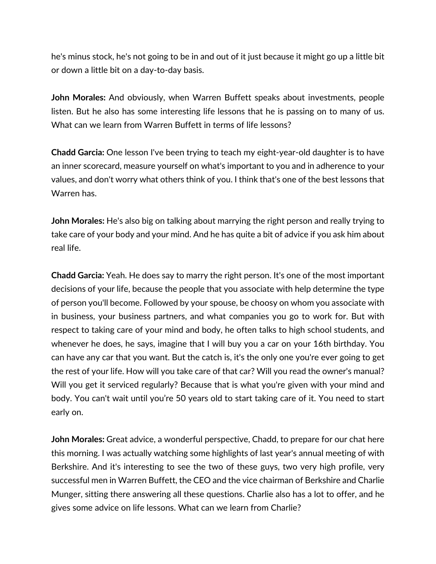he's minus stock, he's not going to be in and out of it just because it might go up a little bit or down a little bit on a day-to-day basis.

**John Morales:** And obviously, when Warren Buffett speaks about investments, people listen. But he also has some interesting life lessons that he is passing on to many of us. What can we learn from Warren Buffett in terms of life lessons?

**Chadd Garcia:** One lesson I've been trying to teach my eight-year-old daughter is to have an inner scorecard, measure yourself on what's important to you and in adherence to your values, and don't worry what others think of you. I think that's one of the best lessons that Warren has.

**John Morales:** He's also big on talking about marrying the right person and really trying to take care of your body and your mind. And he has quite a bit of advice if you ask him about real life.

**Chadd Garcia:** Yeah. He does say to marry the right person. It's one of the most important decisions of your life, because the people that you associate with help determine the type of person you'll become. Followed by your spouse, be choosy on whom you associate with in business, your business partners, and what companies you go to work for. But with respect to taking care of your mind and body, he often talks to high school students, and whenever he does, he says, imagine that I will buy you a car on your 16th birthday. You can have any car that you want. But the catch is, it's the only one you're ever going to get the rest of your life. How will you take care of that car? Will you read the owner's manual? Will you get it serviced regularly? Because that is what you're given with your mind and body. You can't wait until you're 50 years old to start taking care of it. You need to start early on.

**John Morales:** Great advice, a wonderful perspective, Chadd, to prepare for our chat here this morning. I was actually watching some highlights of last year's annual meeting of with Berkshire. And it's interesting to see the two of these guys, two very high profile, very successful men in Warren Buffett, the CEO and the vice chairman of Berkshire and Charlie Munger, sitting there answering all these questions. Charlie also has a lot to offer, and he gives some advice on life lessons. What can we learn from Charlie?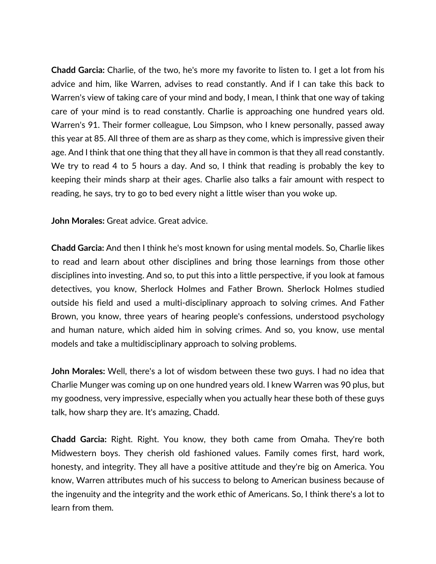**Chadd Garcia:** Charlie, of the two, he's more my favorite to listen to. I get a lot from his advice and him, like Warren, advises to read constantly. And if I can take this back to Warren's view of taking care of your mind and body, I mean, I think that one way of taking care of your mind is to read constantly. Charlie is approaching one hundred years old. Warren's 91. Their former colleague, Lou Simpson, who I knew personally, passed away this year at 85. All three of them are as sharp as they come, which is impressive given their age. And I think that one thing that they all have in common is that they all read constantly. We try to read 4 to 5 hours a day. And so, I think that reading is probably the key to keeping their minds sharp at their ages. Charlie also talks a fair amount with respect to reading, he says, try to go to bed every night a little wiser than you woke up.

**John Morales:** Great advice. Great advice.

**Chadd Garcia:** And then I think he's most known for using mental models. So, Charlie likes to read and learn about other disciplines and bring those learnings from those other disciplines into investing. And so, to put this into a little perspective, if you look at famous detectives, you know, Sherlock Holmes and Father Brown. Sherlock Holmes studied outside his field and used a multi-disciplinary approach to solving crimes. And Father Brown, you know, three years of hearing people's confessions, understood psychology and human nature, which aided him in solving crimes. And so, you know, use mental models and take a multidisciplinary approach to solving problems.

**John Morales:** Well, there's a lot of wisdom between these two guys. I had no idea that Charlie Munger was coming up on one hundred years old. I knew Warren was 90 plus, but my goodness, very impressive, especially when you actually hear these both of these guys talk, how sharp they are. It's amazing, Chadd.

**Chadd Garcia:** Right. Right. You know, they both came from Omaha. They're both Midwestern boys. They cherish old fashioned values. Family comes first, hard work, honesty, and integrity. They all have a positive attitude and they're big on America. You know, Warren attributes much of his success to belong to American business because of the ingenuity and the integrity and the work ethic of Americans. So, I think there's a lot to learn from them.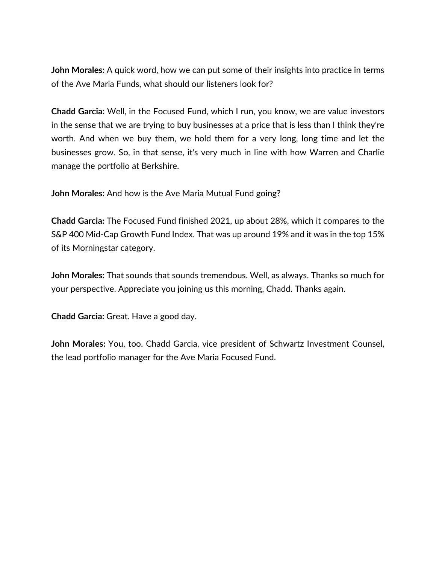**John Morales:** A quick word, how we can put some of their insights into practice in terms of the Ave Maria Funds, what should our listeners look for?

**Chadd Garcia:** Well, in the Focused Fund, which I run, you know, we are value investors in the sense that we are trying to buy businesses at a price that is less than I think they're worth. And when we buy them, we hold them for a very long, long time and let the businesses grow. So, in that sense, it's very much in line with how Warren and Charlie manage the portfolio at Berkshire.

**John Morales:** And how is the Ave Maria Mutual Fund going?

**Chadd Garcia:** The Focused Fund finished 2021, up about 28%, which it compares to the S&P 400 Mid-Cap Growth Fund Index. That was up around 19% and it was in the top 15% of its Morningstar category.

**John Morales:** That sounds that sounds tremendous. Well, as always. Thanks so much for your perspective. Appreciate you joining us this morning, Chadd. Thanks again.

**Chadd Garcia:** Great. Have a good day.

**John Morales:** You, too. Chadd Garcia, vice president of Schwartz Investment Counsel, the lead portfolio manager for the Ave Maria Focused Fund.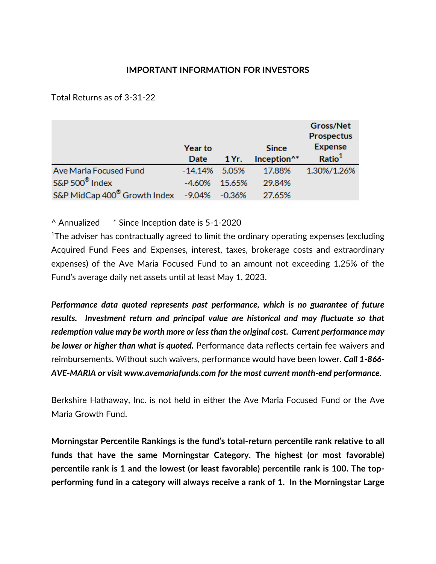## **IMPORTANT INFORMATION FOR INVESTORS**

Total Returns as of 3-31-22

|                                                 | <b>Year to</b> |           | <b>Since</b>            | <b>Gross/Net</b><br><b>Prospectus</b><br><b>Expense</b> |
|-------------------------------------------------|----------------|-----------|-------------------------|---------------------------------------------------------|
|                                                 | Date           | 1 Yr.     | Inception <sup>^*</sup> | Ratio <sup>1</sup>                                      |
| Ave Maria Focused Fund                          | $-14.14%$      | 5.05%     | 17.88%                  | 1.30%/1.26%                                             |
| $S\&P 500^{\circ}$ Index                        | $-4.60\%$      | 15.65%    | 29.84%                  |                                                         |
| S&P MidCap 400 <sup>®</sup> Growth Index -9.04% |                | $-0.36\%$ | 27.65%                  |                                                         |

^ Annualized \* Since Inception date is 5-1-2020

1The adviser has contractually agreed to limit the ordinary operating expenses (excluding Acquired Fund Fees and Expenses, interest, taxes, brokerage costs and extraordinary expenses) of the Ave Maria Focused Fund to an amount not exceeding 1.25% of the Fund's average daily net assets until at least May 1, 2023.

*Performance data quoted represents past performance, which is no guarantee of future results. Investment return and principal value are historical and may fluctuate so that redemption value may be worth more or less than the original cost. Current performance may be lower or higher than what is quoted.* Performance data reflects certain fee waivers and reimbursements. Without such waivers, performance would have been lower. *Call 1-866- AVE-MARIA or visit www.avemariafunds.com for the most current month-end performance.*

Berkshire Hathaway, Inc. is not held in either the Ave Maria Focused Fund or the Ave Maria Growth Fund.

**Morningstar Percentile Rankings is the fund's total-return percentile rank relative to all funds that have the same Morningstar Category. The highest (or most favorable) percentile rank is 1 and the lowest (or least favorable) percentile rank is 100. The topperforming fund in a category will always receive a rank of 1. In the Morningstar Large**